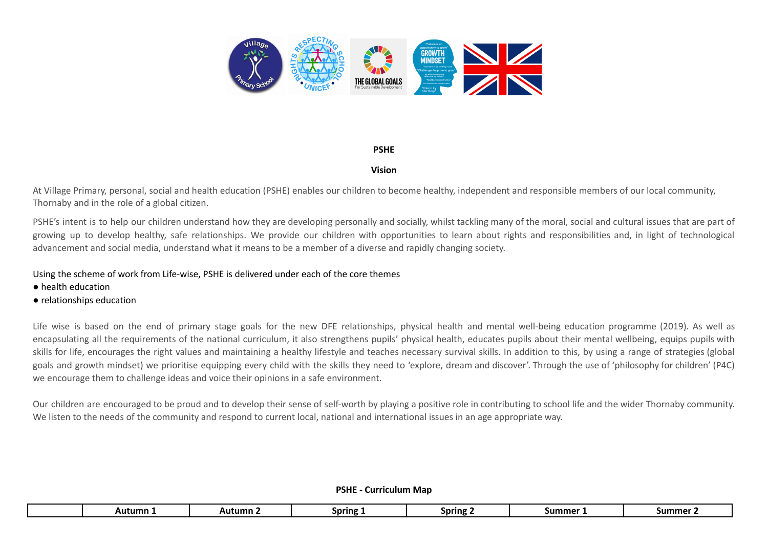

## **PSHE**

## **Vision**

At Village Primary, personal, social and health education (PSHE) enables our children to become healthy, independent and responsible members of our local community, Thornaby and in the role of a global citizen.

PSHE's intent is to help our children understand how they are developing personally and socially, whilst tackling many of the moral, social and cultural issues that are part of growing up to develop healthy, safe relationships. We provide our children with opportunities to learn about rights and responsibilities and, in light of technological advancement and social media, understand what it means to be a member of a diverse and rapidly changing society.

## Using the scheme of work from Life-wise, PSHE is delivered under each of the core themes

- health education
- relationships education

Life wise is based on the end of primary stage goals for the new DFE relationships, physical health and mental well-being education programme (2019). As well as encapsulating all the requirements of the national curriculum, it also strengthens pupils' physical health, educates pupils about their mental wellbeing, equips pupils with skills for life, encourages the right values and maintaining a healthy lifestyle and teaches necessary survival skills. In addition to this, by using a range of strategies (global goals and growth mindset) we prioritise equipping every child with the skills they need to 'explore, dream and discover'. Through the use of 'philosophy for children' (P4C) we encourage them to challenge ideas and voice their opinions in a safe environment.

Our children are encouraged to be proud and to develop their sense of self-worth by playing a positive role in contributing to school life and the wider Thornaby community. We listen to the needs of the community and respond to current local, national and international issues in an age appropriate way.

|  |  | <b>PSHE - Curriculum Map</b> |
|--|--|------------------------------|
|--|--|------------------------------|

|  | Autumn | Autumn | Spring i | <b>Spring</b> | summer | <b>ummer</b> ' |
|--|--------|--------|----------|---------------|--------|----------------|
|--|--------|--------|----------|---------------|--------|----------------|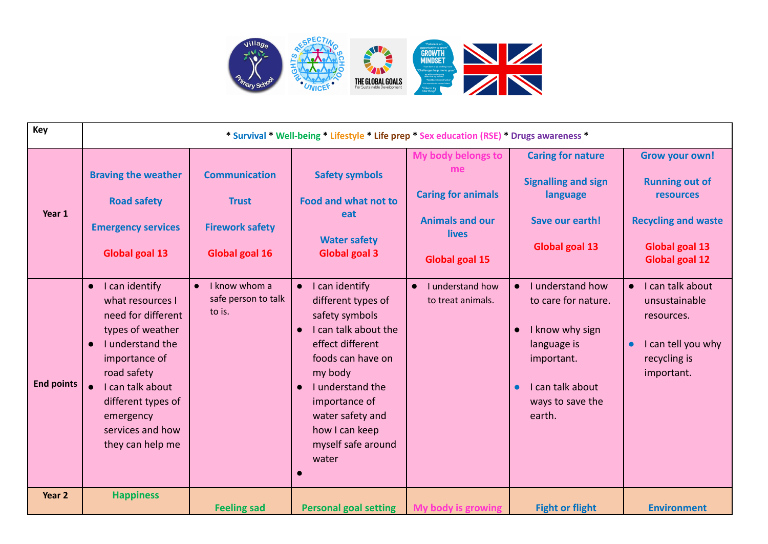

| Key               | * Survival * Well-being * Lifestyle * Life prep * Sex education (RSE) * Drugs awareness *                                                                                                                                                                 |                                                                                  |                                                                                                                                                                                                                                                                        |                                                                                                                   |                                                                                                                                                                     |                                                                                                                                                    |  |
|-------------------|-----------------------------------------------------------------------------------------------------------------------------------------------------------------------------------------------------------------------------------------------------------|----------------------------------------------------------------------------------|------------------------------------------------------------------------------------------------------------------------------------------------------------------------------------------------------------------------------------------------------------------------|-------------------------------------------------------------------------------------------------------------------|---------------------------------------------------------------------------------------------------------------------------------------------------------------------|----------------------------------------------------------------------------------------------------------------------------------------------------|--|
| Year 1            | <b>Braving the weather</b><br><b>Road safety</b><br><b>Emergency services</b><br>Global goal 13                                                                                                                                                           | <b>Communication</b><br><b>Trust</b><br><b>Firework safety</b><br>Global goal 16 | <b>Safety symbols</b><br><b>Food and what not to</b><br>eat<br><b>Water safety</b><br><b>Global goal 3</b>                                                                                                                                                             | My body belongs to<br>me<br><b>Caring for animals</b><br><b>Animals and our</b><br>lives<br><b>Global goal 15</b> | <b>Caring for nature</b><br><b>Signalling and sign</b><br>language<br>Save our earth!<br><b>Global goal 13</b>                                                      | <b>Grow your own!</b><br><b>Running out of</b><br><b>resources</b><br><b>Recycling and waste</b><br><b>Global goal 13</b><br><b>Global goal 12</b> |  |
| <b>End points</b> | I can identify<br>$\bullet$<br>what resources I<br>need for different<br>types of weather<br>I understand the<br>$\bullet$<br>importance of<br>road safety<br>I can talk about<br>different types of<br>emergency<br>services and how<br>they can help me | I know whom a<br>safe person to talk<br>to is.                                   | I can identify<br>different types of<br>safety symbols<br>I can talk about the<br>$\bullet$<br>effect different<br>foods can have on<br>my body<br>I understand the<br>$\bullet$<br>importance of<br>water safety and<br>how I can keep<br>myself safe around<br>water | I understand how<br>$\bullet$<br>to treat animals.                                                                | I understand how<br>to care for nature.<br>I know why sign<br>$\bullet$<br>language is<br>important.<br>I can talk about<br>$\bullet$<br>ways to save the<br>earth. | • I can talk about<br>unsustainable<br>resources.<br>I can tell you why<br>$\bullet$<br>recycling is<br>important.                                 |  |
| Year 2            | <b>Happiness</b>                                                                                                                                                                                                                                          | <b>Feeling sad</b>                                                               | <b>Personal goal setting</b>                                                                                                                                                                                                                                           | My body is growing                                                                                                | <b>Fight or flight</b>                                                                                                                                              | <b>Environment</b>                                                                                                                                 |  |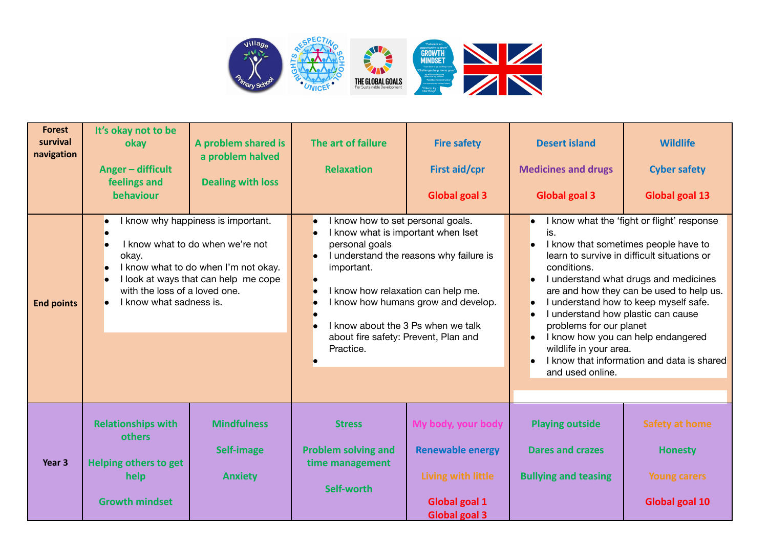

| <b>Forest</b><br>survival<br>navigation | It's okay not to be<br>okay<br>Anger - difficult<br>feelings and<br>behaviour                                                                                                                                                            | A problem shared is<br>a problem halved<br><b>Dealing with loss</b> | The art of failure<br><b>Relaxation</b>                                                                                                                                                                                                                                                                                                                           | <b>Fire safety</b><br>First aid/cpr<br><b>Global goal 3</b>                                                  | <b>Desert island</b><br><b>Medicines and drugs</b><br><b>Global goal 3</b>                                                                                                                                      | <b>Wildlife</b><br><b>Cyber safety</b><br><b>Global goal 13</b>                                                                                                                                                                                                                                                                                     |
|-----------------------------------------|------------------------------------------------------------------------------------------------------------------------------------------------------------------------------------------------------------------------------------------|---------------------------------------------------------------------|-------------------------------------------------------------------------------------------------------------------------------------------------------------------------------------------------------------------------------------------------------------------------------------------------------------------------------------------------------------------|--------------------------------------------------------------------------------------------------------------|-----------------------------------------------------------------------------------------------------------------------------------------------------------------------------------------------------------------|-----------------------------------------------------------------------------------------------------------------------------------------------------------------------------------------------------------------------------------------------------------------------------------------------------------------------------------------------------|
| <b>End points</b>                       | I know why happiness is important.<br>I know what to do when we're not<br>okay.<br>I know what to do when I'm not okay.<br>I look at ways that can help me cope<br>$\bullet$<br>with the loss of a loved one.<br>I know what sadness is. |                                                                     | I know how to set personal goals.<br>$\bullet$<br>I know what is important when Iset<br>personal goals<br>I understand the reasons why failure is<br>$\bullet$<br>important.<br>I know how relaxation can help me.<br>I know how humans grow and develop.<br>$\bullet$<br>I know about the 3 Ps when we talk<br>about fire safety: Prevent, Plan and<br>Practice. |                                                                                                              | $\bullet$<br>is.<br>$\bullet$<br>conditions.<br>$\bullet$<br>$\bullet$<br>I understand how plastic can cause<br>$\bullet$<br>problems for our planet<br>$\bullet$<br>wildlife in your area.<br>and used online. | I know what the 'fight or flight' response<br>I know that sometimes people have to<br>learn to survive in difficult situations or<br>I understand what drugs and medicines<br>are and how they can be used to help us.<br>I understand how to keep myself safe.<br>I know how you can help endangered<br>I know that information and data is shared |
| Year 3                                  | <b>Relationships with</b><br><b>others</b><br><b>Helping others to get</b><br>help<br><b>Growth mindset</b>                                                                                                                              | <b>Mindfulness</b><br>Self-image<br><b>Anxiety</b>                  | <b>Stress</b><br><b>Problem solving and</b><br>time management<br>Self-worth                                                                                                                                                                                                                                                                                      | My body, your body<br><b>Renewable energy</b><br>Living with little<br>Global goal 1<br><b>Global goal 3</b> | <b>Playing outside</b><br><b>Dares and crazes</b><br><b>Bullying and teasing</b>                                                                                                                                | <b>Safety at home</b><br><b>Honesty</b><br><b>Young carers</b><br><b>Global goal 10</b>                                                                                                                                                                                                                                                             |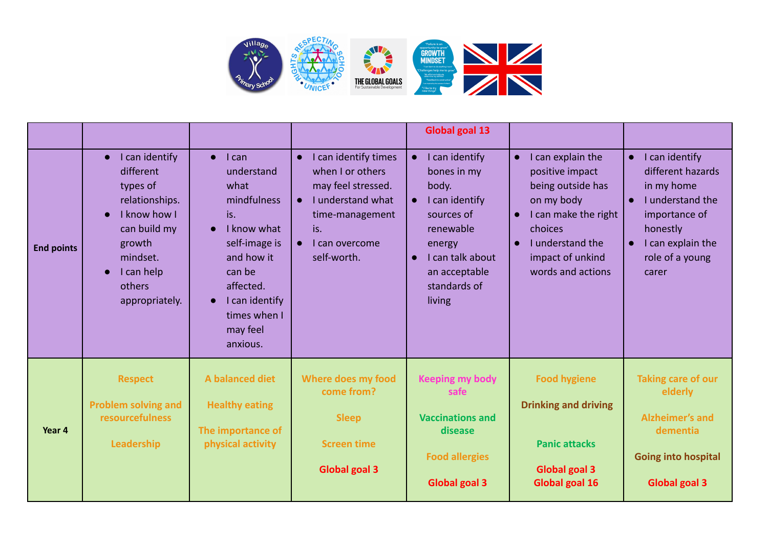

|                   | I can identify<br>$\bullet$<br>different<br>types of<br>relationships.<br>I know how I<br>can build my | $l$ can<br>$\bullet$<br>understand<br>what<br>mindfulness<br>is.<br>I know what<br>$\bullet$                 | I can identify times<br>$\bullet$<br>when I or others<br>may feel stressed.<br>I understand what<br>$\bullet$<br>time-management<br>is. | <b>Global goal 13</b><br>I can identify<br>bones in my<br>body.<br>I can identify<br>sources of<br>renewable          | I can explain the<br>$\bullet$<br>positive impact<br>being outside has<br>on my body<br>I can make the right<br>$\bullet$<br>choices | I can identify<br>$\bullet$<br>different hazards<br>in my home<br>I understand the<br>$\bullet$<br>importance of<br>honestly     |
|-------------------|--------------------------------------------------------------------------------------------------------|--------------------------------------------------------------------------------------------------------------|-----------------------------------------------------------------------------------------------------------------------------------------|-----------------------------------------------------------------------------------------------------------------------|--------------------------------------------------------------------------------------------------------------------------------------|----------------------------------------------------------------------------------------------------------------------------------|
| <b>End points</b> | growth<br>mindset.<br>I can help<br>$\bullet$<br>others<br>appropriately.                              | self-image is<br>and how it<br>can be<br>affected.<br>I can identify<br>times when I<br>may feel<br>anxious. | can overcome<br>self-worth.                                                                                                             | energy<br>I can talk about<br>$\bullet$<br>an acceptable<br>standards of<br>living                                    | I understand the<br>$\bullet$<br>impact of unkind<br>words and actions                                                               | I can explain the<br>$\bullet$<br>role of a young<br>carer                                                                       |
| Year 4            | <b>Respect</b><br><b>Problem solving and</b><br>resourcefulness<br>Leadership                          | A balanced diet<br><b>Healthy eating</b><br>The importance of<br>physical activity                           | <b>Where does my food</b><br>come from?<br><b>Sleep</b><br><b>Screen time</b><br><b>Global goal 3</b>                                   | <b>Keeping my body</b><br>safe<br><b>Vaccinations and</b><br>disease<br><b>Food allergies</b><br><b>Global goal 3</b> | <b>Food hygiene</b><br><b>Drinking and driving</b><br><b>Panic attacks</b><br><b>Global goal 3</b><br>Global goal 16                 | <b>Taking care of our</b><br>elderly<br><b>Alzheimer's and</b><br>dementia<br><b>Going into hospital</b><br><b>Global goal 3</b> |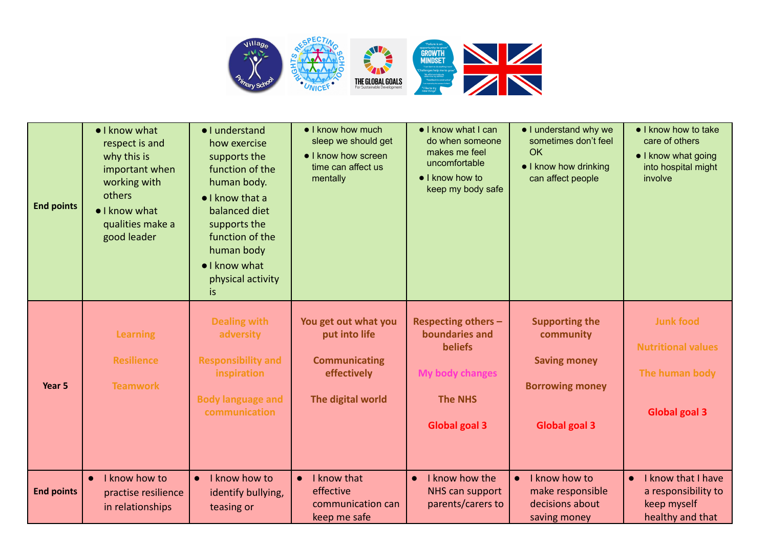

| <b>End points</b> | • I know what<br>respect is and<br>why this is<br>important when<br>working with<br>others<br>• I know what<br>qualities make a<br>good leader | · I understand<br>how exercise<br>supports the<br>function of the<br>human body.<br>$\bullet$ I know that a<br>balanced diet<br>supports the<br>function of the<br>human body<br>• I know what<br>physical activity<br>is | • I know how much<br>sleep we should get<br>• I know how screen<br>time can affect us<br>mentally | • I know what I can<br>do when someone<br>makes me feel<br>uncomfortable<br>• I know how to<br>keep my body safe            | • I understand why we<br>sometimes don't feel<br><b>OK</b><br>• I know how drinking<br>can affect people    | • I know how to take<br>care of others<br>• I know what going<br>into hospital might<br>involve |
|-------------------|------------------------------------------------------------------------------------------------------------------------------------------------|---------------------------------------------------------------------------------------------------------------------------------------------------------------------------------------------------------------------------|---------------------------------------------------------------------------------------------------|-----------------------------------------------------------------------------------------------------------------------------|-------------------------------------------------------------------------------------------------------------|-------------------------------------------------------------------------------------------------|
| Year 5            | <b>Learning</b><br><b>Resilience</b><br><b>Teamwork</b>                                                                                        | <b>Dealing with</b><br>adversity<br><b>Responsibility and</b><br>inspiration<br><b>Body language and</b><br>communication                                                                                                 | You get out what you<br>put into life<br><b>Communicating</b><br>effectively<br>The digital world | <b>Respecting others -</b><br>boundaries and<br><b>beliefs</b><br>My body changes<br><b>The NHS</b><br><b>Global goal 3</b> | <b>Supporting the</b><br>community<br><b>Saving money</b><br><b>Borrowing money</b><br><b>Global goal 3</b> | <b>Junk food</b><br><b>Nutritional values</b><br>The human body<br><b>Global goal 3</b>         |
| <b>End points</b> | I know how to<br>$\bullet$<br>practise resilience<br>in relationships                                                                          | I know how to<br>$\bullet$<br>identify bullying,<br>teasing or                                                                                                                                                            | I know that<br>$\bullet$<br>effective<br>communication can<br>keep me safe                        | I know how the<br>$\bullet$<br>NHS can support<br>parents/carers to                                                         | I know how to<br>$\bullet$<br>make responsible<br>decisions about<br>saving money                           | I know that I have<br>$\bullet$<br>a responsibility to<br>keep myself<br>healthy and that       |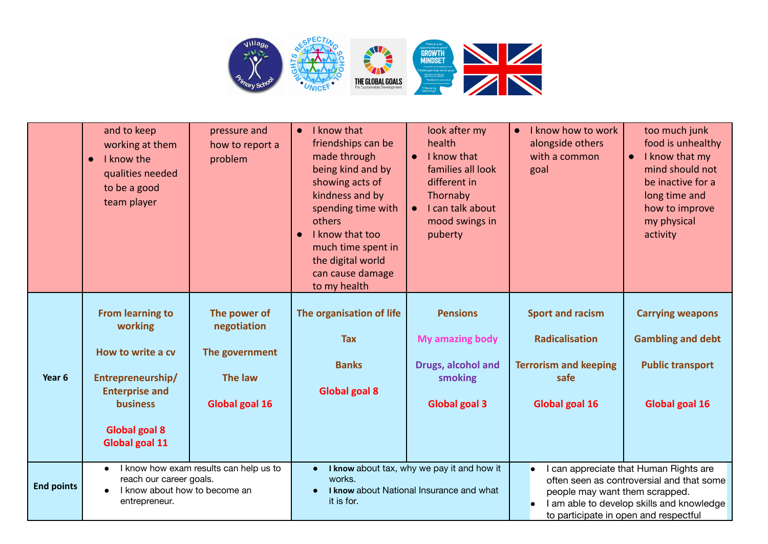

|                   | and to keep<br>working at them<br>I know the<br>$\bullet$<br>qualities needed<br>to be a good<br>team player                                                       | pressure and<br>how to report a<br>problem                                 | I know that<br>$\bullet$<br>friendships can be<br>made through<br>being kind and by<br>showing acts of<br>kindness and by<br>spending time with<br>others<br>I know that too<br>$\bullet$<br>much time spent in<br>the digital world<br>can cause damage<br>to my health | look after my<br>health<br>I know that<br>$\bullet$<br>families all look<br>different in<br>Thornaby<br>I can talk about<br>mood swings in<br>puberty | I know how to work<br>$\bullet$<br>alongside others<br>with a common<br>goal                               | too much junk<br>food is unhealthy<br>I know that my<br>mind should not<br>be inactive for a<br>long time and<br>how to improve<br>my physical<br>activity |
|-------------------|--------------------------------------------------------------------------------------------------------------------------------------------------------------------|----------------------------------------------------------------------------|--------------------------------------------------------------------------------------------------------------------------------------------------------------------------------------------------------------------------------------------------------------------------|-------------------------------------------------------------------------------------------------------------------------------------------------------|------------------------------------------------------------------------------------------------------------|------------------------------------------------------------------------------------------------------------------------------------------------------------|
| Year 6            | <b>From learning to</b><br>working<br>How to write a cv<br>Entrepreneurship/<br><b>Enterprise and</b><br><b>business</b><br><b>Global goal 8</b><br>Global goal 11 | The power of<br>negotiation<br>The government<br>The law<br>Global goal 16 | The organisation of life<br><b>Tax</b><br><b>Banks</b><br><b>Global goal 8</b>                                                                                                                                                                                           | <b>Pensions</b><br><b>My amazing body</b><br>Drugs, alcohol and<br>smoking<br><b>Global goal 3</b>                                                    | <b>Sport and racism</b><br><b>Radicalisation</b><br><b>Terrorism and keeping</b><br>safe<br>Global goal 16 | <b>Carrying weapons</b><br><b>Gambling and debt</b><br><b>Public transport</b><br><b>Global goal 16</b>                                                    |
| <b>End points</b> | I know how exam results can help us to<br>reach our career goals.<br>I know about how to become an<br>entrepreneur.                                                |                                                                            | works.<br>it is for.                                                                                                                                                                                                                                                     | I know about tax, why we pay it and how it<br>I know about National Insurance and what                                                                | people may want them scrapped.<br>to participate in open and respectful                                    | I can appreciate that Human Rights are<br>often seen as controversial and that some<br>I am able to develop skills and knowledge                           |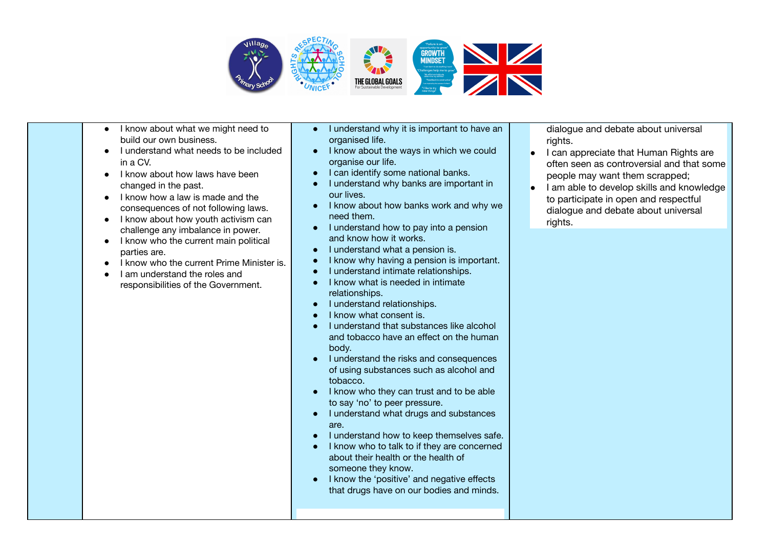

- I know about what we might need to build our own business.
- I understand what needs to be included in a CV.
- I know about how laws have been changed in the past.
- I know how a law is made and the consequences of not following laws.
- I know about how youth activism can challenge any imbalance in power.
- I know who the current main political parties are.
- I know who the current Prime Minister is.
- I am understand the roles and responsibilities of the Government.
- I understand why it is important to have an organised life.
- I know about the ways in which we could organise our life.
- I can identify some national banks.
- I understand why banks are important in our lives.
- I know about how banks work and why we need them.
- I understand how to pay into a pension and know how it works.
- I understand what a pension is.
- I know why having a pension is important.
- I understand intimate relationships.
- I know what is needed in intimate relationships.
- I understand relationships.
- I know what consent is.
- I understand that substances like alcohol and tobacco have an effect on the human body.
- I understand the risks and consequences of using substances such as alcohol and tobacco.
- I know who they can trust and to be able to say 'no' to peer pressure.
- I understand what drugs and substances are.
- I understand how to keep themselves safe.
- I know who to talk to if they are concerned about their health or the health of someone they know.
- I know the 'positive' and negative effects that drugs have on our bodies and minds.

dialogue and debate about universal rights.

- I can appreciate that Human Rights are often seen as controversial and that some people may want them scrapped;
- I am able to develop skills and knowledge to participate in open and respectful dialogue and debate about universal rights.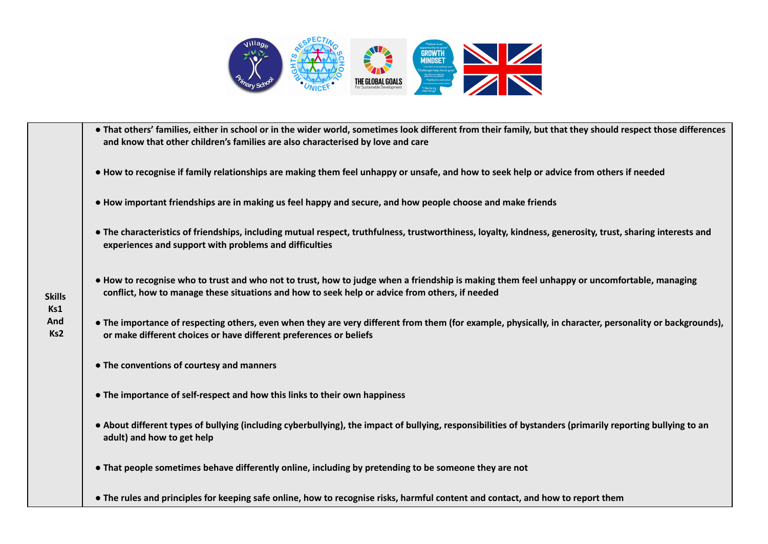

**Skills Ks1 And Ks2** • That others' families, either in school or in the wider world, sometimes look different from their family, but that they should respect those differences **and know that other children's families are also characterised by love and care** • How to recognise if family relationships are making them feel unhappy or unsafe, and how to seek help or advice from others if needed • How important friendships are in making us feel happy and secure, and how people choose and make friends • The characteristics of friendships, including mutual respect, truthfulness, trustworthiness, loyalty, kindness, generosity, trust, sharing interests and **experiences and support with problems and difficulties** • How to recognise who to trust and who not to trust, how to judge when a friendship is making them feel unhappy or uncomfortable, managing **conflict, how to manage these situations and how to seek help or advice from others, if needed** • The importance of respecting others, even when they are very different from them (for example, physically, in character, personality or backgrounds). **or make different choices or have different preferences or beliefs ● The conventions of courtesy and manners ● The importance of self-respect and how this links to their own happiness** • About different types of bullying (including cyberbullying), the impact of bullying, responsibilities of bystanders (primarily reporting bullying to an **adult) and how to get help ● That people sometimes behave differently online, including by pretending to be someone they are not** • The rules and principles for keeping safe online, how to recognise risks, harmful content and contact, and how to report them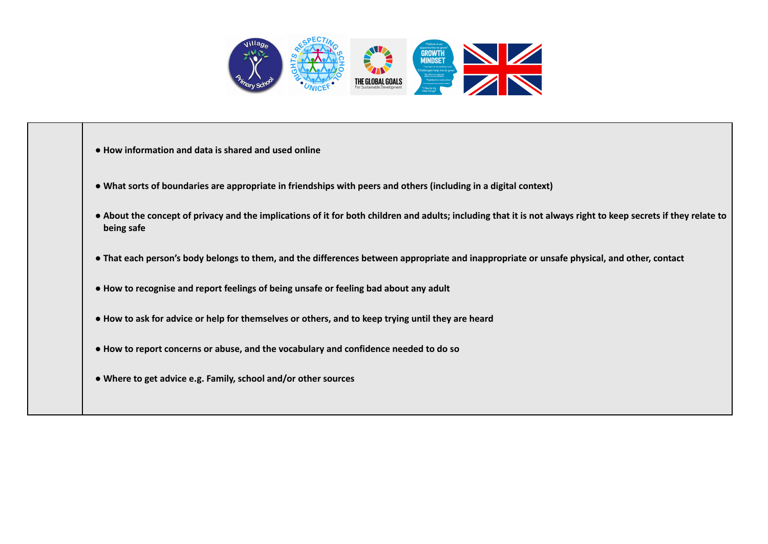

- **● How information and data is shared and used online**
- What sorts of boundaries are appropriate in friendships with peers and others (including in a digital context)
- . About the concept of privacy and the implications of it for both children and adults: including that it is not always right to keep secrets if they relate to **being safe**
- That each person's body belongs to them, and the differences between appropriate and inappropriate or unsafe physical, and other, contact
- **● How to recognise and report feelings of being unsafe or feeling bad about any adult**
- How to ask for advice or help for themselves or others, and to keep trying until they are heard
- **● How to report concerns or abuse, and the vocabulary and confidence needed to do so**
- **● Where to get advice e.g. Family, school and/or other sources**